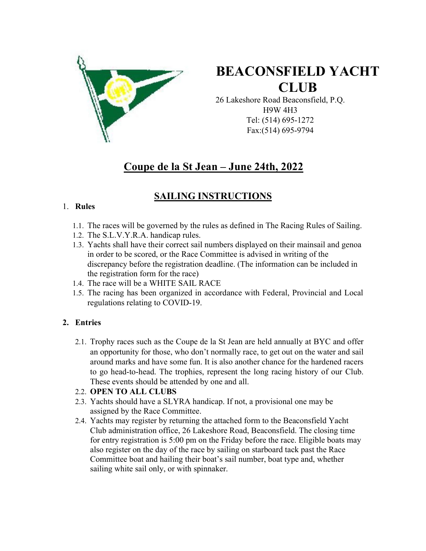

# BEACONSFIELD YACHT **CLUB**

26 Lakeshore Road Beaconsfield, P.Q. H9W 4H3 Tel: (514) 695-1272 Fax:(514) 695-9794

# Coupe de la St Jean – June 24th, 2022

# SAILING INSTRUCTIONS

### 1. Rules

- 1.1. The races will be governed by the rules as defined in The Racing Rules of Sailing.
- 1.2. The S.L.V.Y.R.A. handicap rules.
- 1.3. Yachts shall have their correct sail numbers displayed on their mainsail and genoa in order to be scored, or the Race Committee is advised in writing of the discrepancy before the registration deadline. (The information can be included in the registration form for the race)
- 1.4. The race will be a WHITE SAIL RACE
- 1.5. The racing has been organized in accordance with Federal, Provincial and Local regulations relating to COVID-19.

# 2. Entries

- 2.1. Trophy races such as the Coupe de la St Jean are held annually at BYC and offer an opportunity for those, who don't normally race, to get out on the water and sail around marks and have some fun. It is also another chance for the hardened racers to go head-to-head. The trophies, represent the long racing history of our Club. These events should be attended by one and all.
- 2.2. OPEN TO ALL CLUBS
- 2.3. Yachts should have a SLYRA handicap. If not, a provisional one may be assigned by the Race Committee.
- 2.4. Yachts may register by returning the attached form to the Beaconsfield Yacht Club administration office, 26 Lakeshore Road, Beaconsfield. The closing time for entry registration is 5:00 pm on the Friday before the race. Eligible boats may also register on the day of the race by sailing on starboard tack past the Race Committee boat and hailing their boat's sail number, boat type and, whether sailing white sail only, or with spinnaker.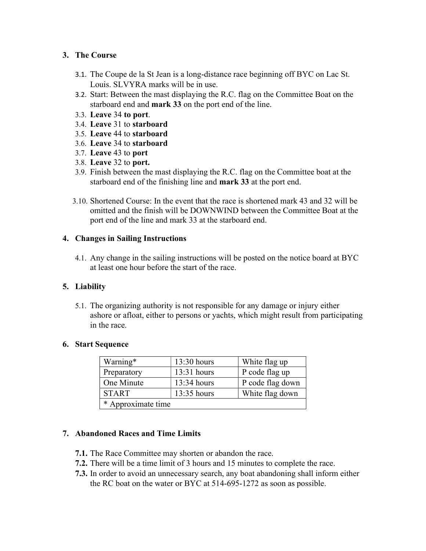### 3. The Course

- 3.1. The Coupe de la St Jean is a long-distance race beginning off BYC on Lac St. Louis. SLVYRA marks will be in use.
- 3.2. Start: Between the mast displaying the R.C. flag on the Committee Boat on the starboard end and mark 33 on the port end of the line.
- 3.3. Leave 34 to port.
- 3.4. Leave 31 to starboard
- 3.5. Leave 44 to starboard
- 3.6. Leave 34 to starboard
- 3.7. Leave 43 to port
- 3.8. Leave 32 to port.
- 3.9. Finish between the mast displaying the R.C. flag on the Committee boat at the starboard end of the finishing line and mark 33 at the port end.
- 3.10. Shortened Course: In the event that the race is shortened mark 43 and 32 will be omitted and the finish will be DOWNWIND between the Committee Boat at the port end of the line and mark 33 at the starboard end.

### 4. Changes in Sailing Instructions

4.1. Any change in the sailing instructions will be posted on the notice board at BYC at least one hour before the start of the race.

# 5. Liability

5.1. The organizing authority is not responsible for any damage or injury either ashore or afloat, either to persons or yachts, which might result from participating in the race.

### 6. Start Sequence

| Warning*           | 13:30 hours   | White flag up    |  |  |
|--------------------|---------------|------------------|--|--|
| Preparatory        | $13:31$ hours | P code flag up   |  |  |
| One Minute         | $13:34$ hours | P code flag down |  |  |
| <b>START</b>       | 13:35 hours   | White flag down  |  |  |
| * Approximate time |               |                  |  |  |

# 7. Abandoned Races and Time Limits

- 7.1. The Race Committee may shorten or abandon the race.
- 7.2. There will be a time limit of 3 hours and 15 minutes to complete the race.
- 7.3. In order to avoid an unnecessary search, any boat abandoning shall inform either the RC boat on the water or BYC at 514-695-1272 as soon as possible.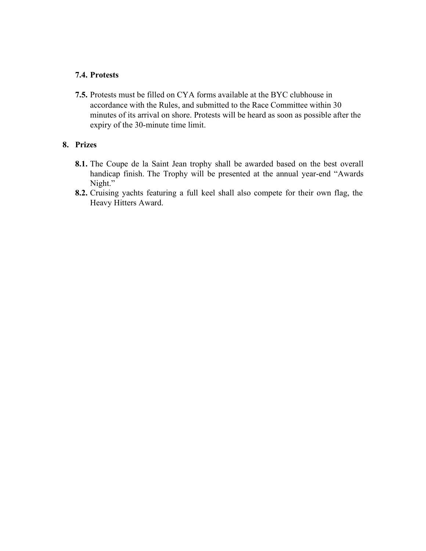#### 7.4. Protests

7.5. Protests must be filled on CYA forms available at the BYC clubhouse in accordance with the Rules, and submitted to the Race Committee within 30 minutes of its arrival on shore. Protests will be heard as soon as possible after the expiry of the 30-minute time limit.

#### 8. Prizes

- 8.1. The Coupe de la Saint Jean trophy shall be awarded based on the best overall handicap finish. The Trophy will be presented at the annual year-end "Awards Night."
- 8.2. Cruising yachts featuring a full keel shall also compete for their own flag, the Heavy Hitters Award.